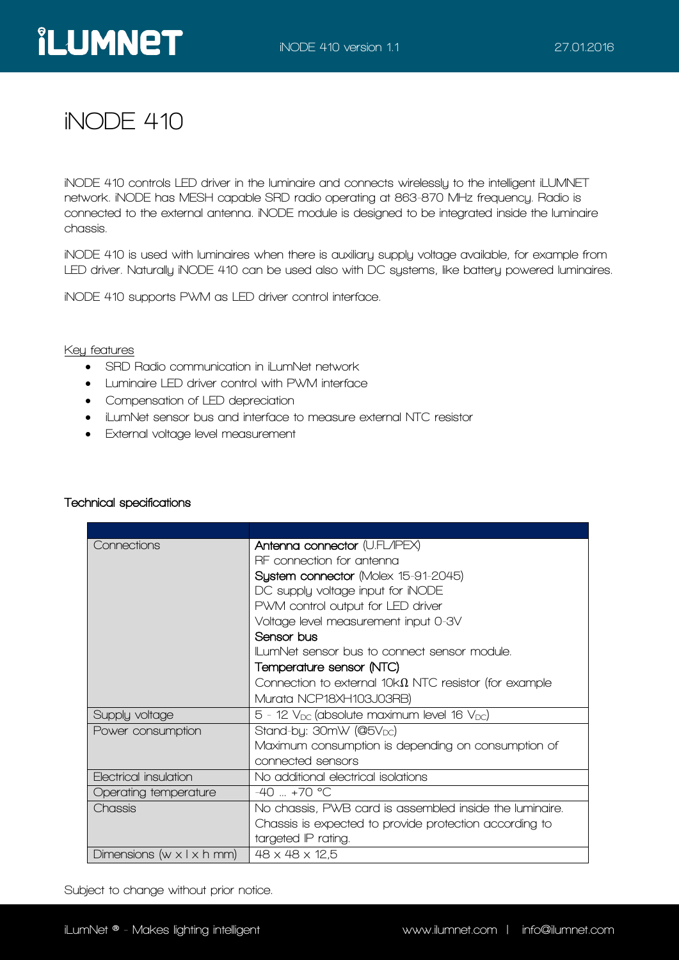# **iNODE 410**

**iNODE 410 controls LED driver in the luminaire and connects wirelessly to the intelligent iLUMNET network. iNODE has MESH capable SRD radio operating at 863-870 MHz frequency. Radio is connected to the external antenna. iNODE module is designed to be integrated inside the luminaire chassis.**

**iNODE 410 is used with luminaires when there is auxiliary supply voltage available, for example from LED driver. Naturally iNODE 410 can be used also with DC systems, like battery powered luminaires.**

**iNODE 410 supports PWM as LED driver control interface.** 

#### **Key features**

- **SRD Radio communication in iLumNet network**
- **Luminaire LED driver control with PWM interface**
- **Compensation of LED depreciation**
- **iLumNet sensor bus and interface to measure external NTC resistor**
- **External voltage level measurement**

| Connections                             | Antenna connector (U.FL/IPEX)                                 |
|-----------------------------------------|---------------------------------------------------------------|
|                                         | RF connection for antenna                                     |
|                                         | System connector (Molex 15-91-2045)                           |
|                                         | DC supply voltage input for iNODE                             |
|                                         | PWM control output for LED driver                             |
|                                         | Voltage level measurement input 0-3V                          |
|                                         | Sensor bus                                                    |
|                                         | II umNet sensor bus to connect sensor module.                 |
|                                         | Temperature sensor (NTC)                                      |
|                                         | Connection to external 10k $\Omega$ NTC resistor (for example |
|                                         | Murata NCP18XH103J03RB)                                       |
| Supply voltage                          | $5$ - 12 $V_{DC}$ (absolute maximum level 16 $V_{DC}$ )       |
| Power consumption                       | Stand-by: $30mW$ (@5 $V_{DC}$ )                               |
|                                         | Maximum consumption is depending on consumption of            |
|                                         | connected sensors                                             |
| Electrical insulation                   | No additional electrical isolations                           |
| Operating temperature                   | $-40$ +70 °C                                                  |
| Chassis                                 | No chassis, PWB card is assembled inside the luminaire.       |
|                                         | Chassis is expected to provide protection according to        |
|                                         | targeted IP rating.                                           |
| Dimensions (w $\times$ l $\times$ h mm) | $48 \times 48 \times 12.5$                                    |

#### **Technical specifications**

**Subject to change without prior notice..**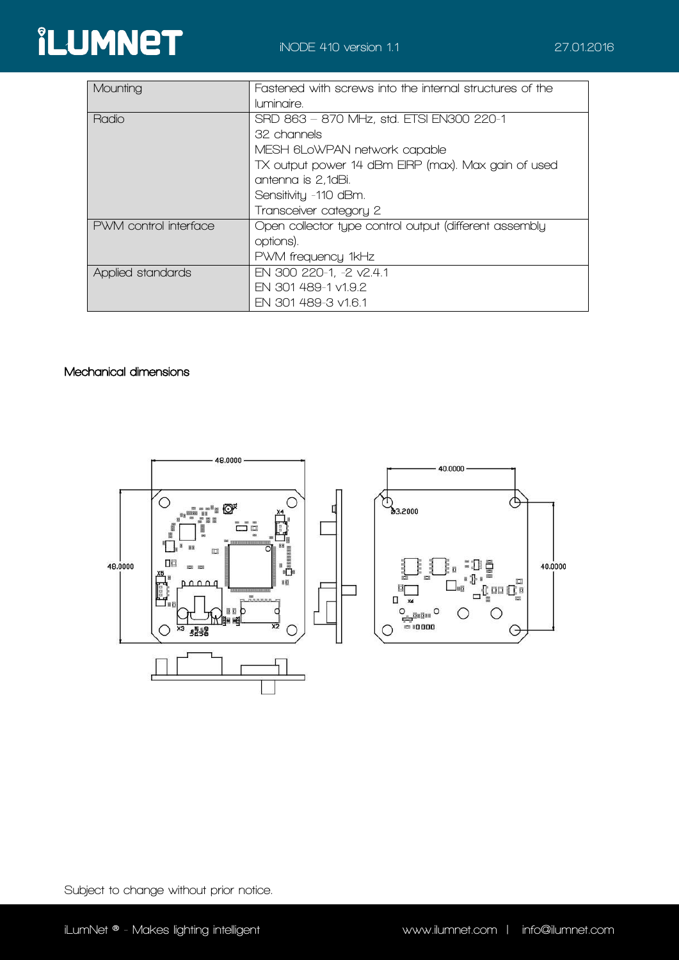

| Mounting              | Fastened with screws into the internal structures of the |
|-----------------------|----------------------------------------------------------|
|                       | luminaire.                                               |
| Radio                 | SRD 863 - 870 MHz, std. ETSI EN300 220-1                 |
|                       | 32 channels                                              |
|                       | MESH 6LoWPAN network capable                             |
|                       | TX output power 14 dBm EIRP (max). Max gain of used      |
|                       | antenna is 2,1dBi.                                       |
|                       | Sensitivity -110 dBm.                                    |
|                       | Transceiver category 2                                   |
| PWM control interface | Open collector type control output (different assembly   |
|                       | options).                                                |
|                       | PWM frequency 1kHz                                       |
| Applied standards     | EN 300 220-1, -2 v2.4.1                                  |
|                       | EN 301 489-1 v1.9.2                                      |
|                       | EN 301 489-3 v1.6.1                                      |

## **Mechanical dimensions**



**Subject to change without prior notice..**